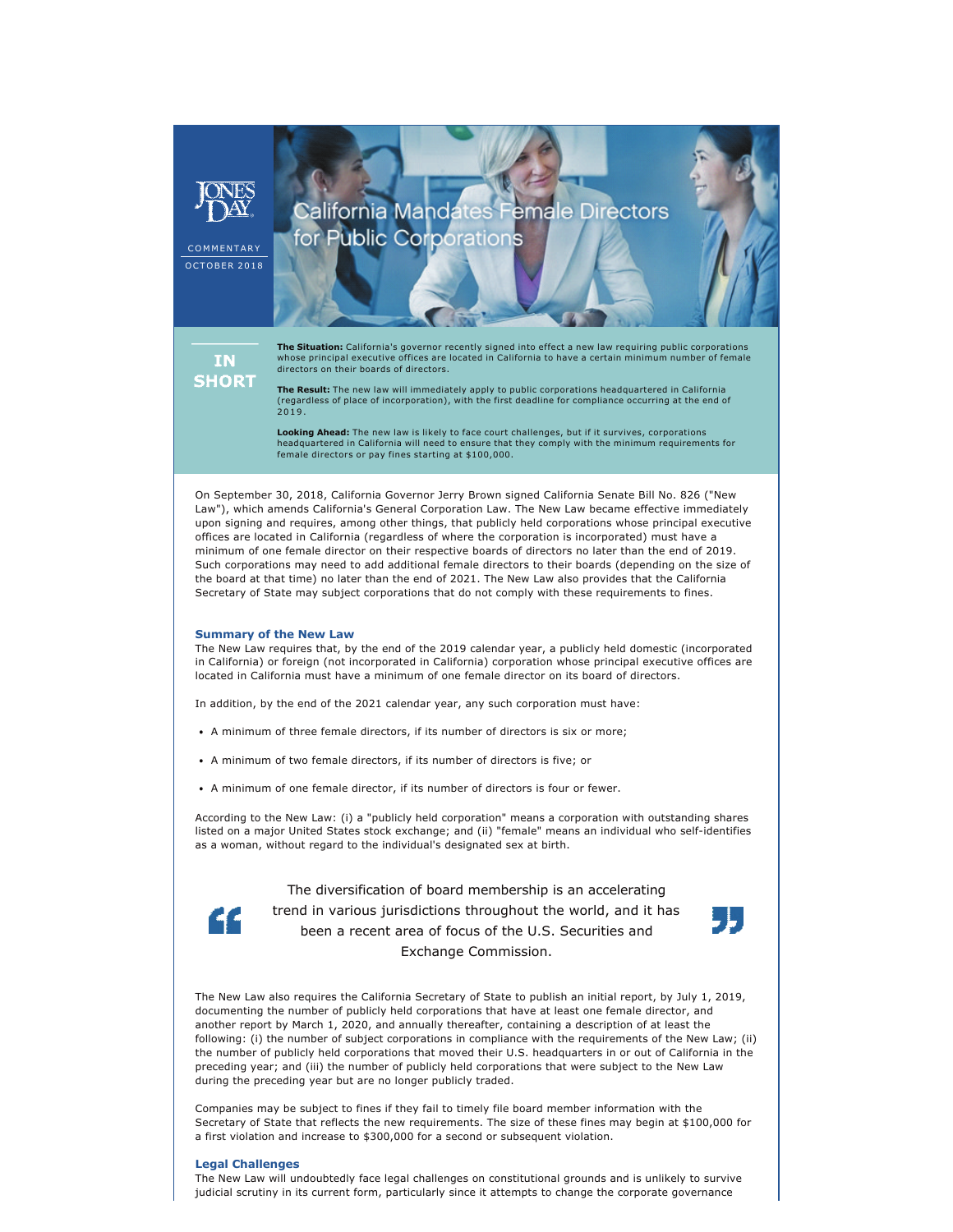## California Mandates Female Directors for Public Corporations **COMMENTARY** OCTOBER 2018 **The Situation:** California's governor recently signed into effect a new law requiring public corporations whose principal executive offices are located in California to have a certain minimum number of female **IN** directors on their boards of directors. **SHORT The Result:** The new law will immediately apply to public corporations headquartered in California (regardless of place of incorporation), with the first deadline for compliance occurring at the end of 2019.

**Looking Ahead:** The new law is likely to face court challenges, but if it survives, corporations headquartered in California will need to ensure that they comply with the minimum requirements for female directors or pay fines starting at \$100,000.

On September 30, 2018, California Governor Jerry Brown signed California Senate Bill No. 826 ("New Law"), which amends California's General Corporation Law. The New Law became effective immediately upon signing and requires, among other things, that publicly held corporations whose principal executive offices are located in California (regardless of where the corporation is incorporated) must have a minimum of one female director on their respective boards of directors no later than the end of 2019. Such corporations may need to add additional female directors to their boards (depending on the size of the board at that time) no later than the end of 2021. The New Law also provides that the California Secretary of State may subject corporations that do not comply with these requirements to fines.

#### **Summary of the New Law**

The New Law requires that, by the end of the 2019 calendar year, a publicly held domestic (incorporated in California) or foreign (not incorporated in California) corporation whose principal executive offices are located in California must have a minimum of one female director on its board of directors.

In addition, by the end of the 2021 calendar year, any such corporation must have:

- A minimum of three female directors, if its number of directors is six or more;
- A minimum of two female directors, if its number of directors is five; or
- A minimum of one female director, if its number of directors is four or fewer.

According to the New Law: (i) a "publicly held corporation" means a corporation with outstanding shares listed on a major United States stock exchange; and (ii) "female" means an individual who self-identifies as a woman, without regard to the individual's designated sex at birth.

> The diversification of board membership is an accelerating trend in various jurisdictions throughout the world, and it has been a recent area of focus of the U.S. Securities and Exchange Commission.



The New Law also requires the California Secretary of State to publish an initial report, by July 1, 2019, documenting the number of publicly held corporations that have at least one female director, and another report by March 1, 2020, and annually thereafter, containing a description of at least the following: (i) the number of subject corporations in compliance with the requirements of the New Law; (ii) the number of publicly held corporations that moved their U.S. headquarters in or out of California in the preceding year; and (iii) the number of publicly held corporations that were subject to the New Law during the preceding year but are no longer publicly traded.

Companies may be subject to fines if they fail to timely file board member information with the Secretary of State that reflects the new requirements. The size of these fines may begin at \$100,000 for a first violation and increase to \$300,000 for a second or subsequent violation.

#### **Legal Challenges**

The New Law will undoubtedly face legal challenges on constitutional grounds and is unlikely to survive judicial scrutiny in its current form, particularly since it attempts to change the corporate governance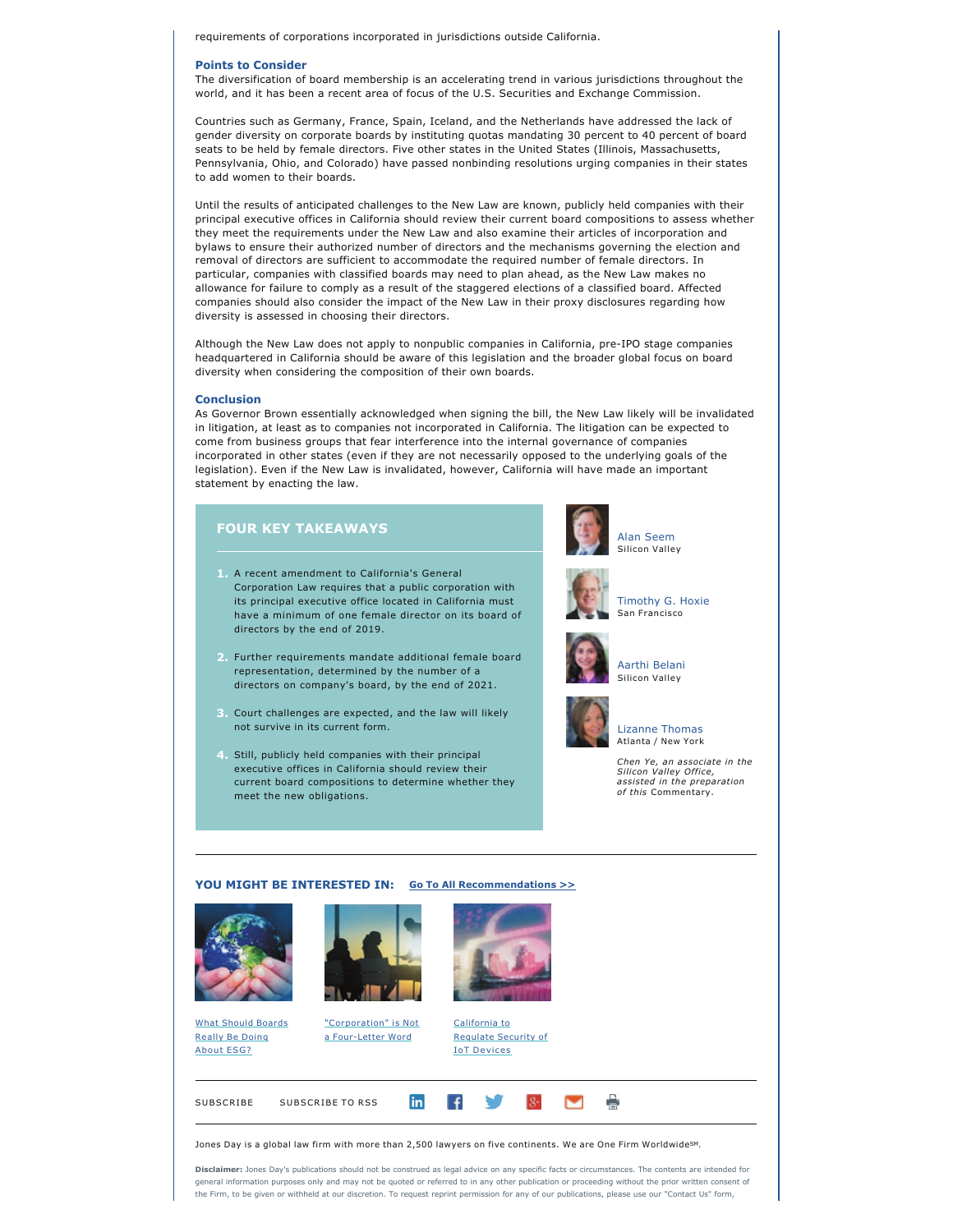requirements of corporations incorporated in jurisdictions outside California.

#### **Points to Consider**

The diversification of board membership is an accelerating trend in various jurisdictions throughout the world, and it has been a recent area of focus of the U.S. Securities and Exchange Commission.

Countries such as Germany, France, Spain, Iceland, and the Netherlands have addressed the lack of gender diversity on corporate boards by instituting quotas mandating 30 percent to 40 percent of board seats to be held by female directors. Five other states in the United States (Illinois, Massachusetts, Pennsylvania, Ohio, and Colorado) have passed nonbinding resolutions urging companies in their states to add women to their boards.

Until the results of anticipated challenges to the New Law are known, publicly held companies with their principal executive offices in California should review their current board compositions to assess whether they meet the requirements under the New Law and also examine their articles of incorporation and bylaws to ensure their authorized number of directors and the mechanisms governing the election and removal of directors are sufficient to accommodate the required number of female directors. In particular, companies with classified boards may need to plan ahead, as the New Law makes no allowance for failure to comply as a result of the staggered elections of a classified board. Affected companies should also consider the impact of the New Law in their proxy disclosures regarding how diversity is assessed in choosing their directors.

Although the New Law does not apply to nonpublic companies in California, pre-IPO stage companies headquartered in California should be aware of this legislation and the broader global focus on board diversity when considering the composition of their own boards.

#### **Conclusion**

As Governor Brown essentially acknowledged when signing the bill, the New Law likely will be invalidated in litigation, at least as to companies not incorporated in California. The litigation can be expected to come from business groups that fear interference into the internal governance of companies incorporated in other states (even if they are not necessarily opposed to the underlying goals of the legislation). Even if the New Law is invalidated, however, California will have made an important statement by enacting the law.

#### **FOUR KEY TAKEAWAYS**

- **1.** A recent amendment to California's General Corporation Law requires that a public corporation with its principal executive office located in California must have a minimum of one female director on its board of directors by the end of 2019.
- **2.** Further requirements mandate additional female board representation, determined by the number of a directors on company's board, by the end of 2021.
- **3.** Court challenges are expected, and the law will likely not survive in its current form.
- **4.** Still, publicly held companies with their principal executive offices in California should review their current board compositions to determine whether they meet the new obligations.





[Timothy G. Hoxie](https://www.jonesday.com/tghoxie/) San Francisco



# [Aarthi Belani](https://www.jonesday.com/abelani/)



### [Lizanne Thomas](https://www.jonesday.com/lthomas) Atlanta / New York

Silicon Valley

*Chen Ye, an associate in the Silicon Valley Office, assisted in the preparation of this* Commentary.

#### **YOU MIGHT BE INTERESTED IN: [Go To All Recommendations >>](https://www.jonesday.com/corporate_governance/?section=Publications)**





[What Should Boards](https://www.jonesday.com/what-should-boards-really-be-doing-about-esg-10-03-2018/) [Really Be Doing](https://www.jonesday.com/what-should-boards-really-be-doing-about-esg-10-03-2018/)  About **ESG?** 

["Corporation" is Not](https://www.jonesday.com/corporation-is-not-a-four-letter-word-01-26-2018/)  a Four-Letter Word



[California to](https://www.jonesday.com/California-to-Regulate-Security-of-IoT-Devices-10-05-2018) [Regulate Security of](https://www.jonesday.com/California-to-Regulate-Security-of-IoT-Devices-10-05-2018) **IoT Devices** 

 $8+$ 





 $\vert f \vert$ 

in

**Disclaimer:** Jones Day's publications should not be construed as legal advice on any specific facts or circumstances. The contents are intended for general information purposes only and may not be quoted or referred to in any other publication or proceeding without the prior written consent of the Firm, to be given or withheld at our discretion. To request reprint permission for any of our publications, please use our "Contact Us" form,